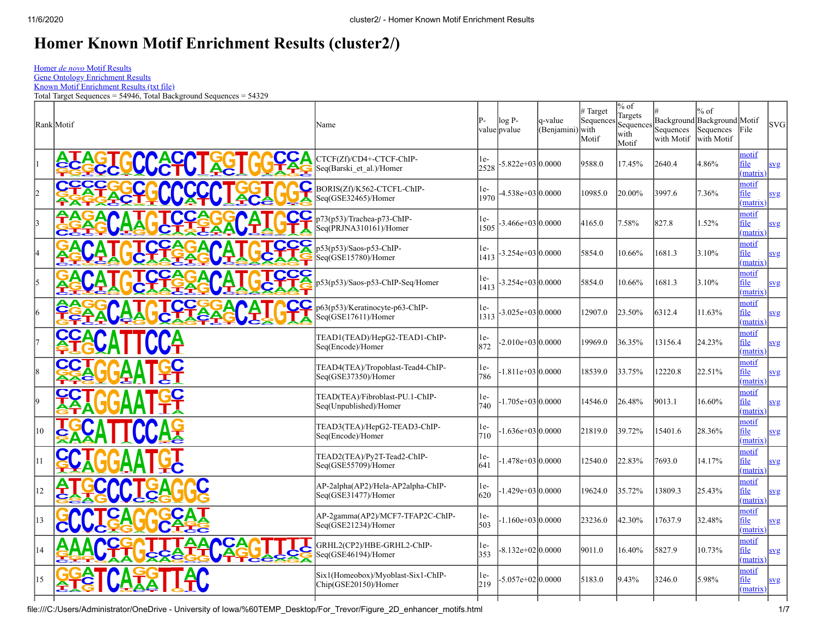$^{15}$   $\left(\frac{8}{2}\right)$  $\frac{G}{2}$ **ACTA**

 $\frac{1}{2}$ **C**

**CGTAGCT**  $\overline{A}$ **TACA T**

 $\mathbf{Z}$   $\vert$ **TA**

**CGTACGTAGCT A GCT**

## **Homer Known Motif Enrichment Results (cluster2/)**

Homer *de novo* [Motif Results](file:///C:/Users/Administrator/OneDrive%20-%20University%20of%20Iowa/%60TEMP_Desktop/For_Trevor/homerResults.html)

[Gene Ontology Enrichment Results](file:///C:/Users/Administrator/OneDrive%20-%20University%20of%20Iowa/%60TEMP_Desktop/For_Trevor/geneOntology.html)

[Known Motif Enrichment Results \(txt file\)](file:///C:/Users/Administrator/OneDrive%20-%20University%20of%20Iowa/%60TEMP_Desktop/For_Trevor/knownResults.txt) Total Target Sequences = 54946, Total Background Sequences = 54329

 $\mathbb{R}$ ank Motif  $\mathbb{R}^2$ value pvalue log P-1-value (Benjamini) with # Target Sequences Motif % of Targets  $S$ equenc with Motif # Background Background Motif Sequences with Motif % of Sequences File SVG with Motif  $\frac{1}{2}$ <u>ጅረ</u> **AZ A**  $\mathbf{G}$  $\frac{L}{C}$ **T**  $\frac{2}{2}$ **A**  $\frac{C}{C}$ **G GCA T CGT AGCT AGCT**  $\sqrt{c}$ **A GTA** <u>ርቦ</u>  $\bullet$ **AG CTAC TA G CGT AG E ACGT AG T C TA A** <u>፭§</u> **CA**  $\mathbf{\underline{G}}$ **A** CTCF(Zf)/CD4+-CTCF-ChIP-Seq(Barski et al.)/Homer  $1e \frac{16}{2528}$  -5.822e+03 0.0000 9588.0 17.45% 2640.4 4.86% motif file [\(matrix\)](file:///C:/Users/Administrator/OneDrive%20-%20University%20of%20Iowa/%60TEMP_Desktop/For_Trevor/knownResults//known1.motif)  $\frac{1}{2}$ **E A** <u>...</u><br>ይና <u>ጵና</u> **G**  $\overline{\mathbf{F}}$ <u>ca</u><br>ع **GT A CC GA T C**C **A A G**  $\mathbf{C}$ **A <sup>G</sup>GT<sup>A</sup> CG**  $G$  $\overline{G}$ **AG <sup>C</sup>TAGT<sup>A</sup> CGCT AG CTAC <sup>G</sup>TACT<sup>A</sup> G <sup>G</sup>CTACG<sup>T</sup> ACGTAG A**Seq(GSE32465)/Homer  $\overline{\mathbf{C}}$ <sup>BC</sup> BORIS(Zf)/K562-CTCFL-ChIP- $1e-1970$ <sup>1970</sup> -4.538e+03 0.0000 10985.0 20.00% 3997.6 7.36% motif file matrix [svg](file:///C:/Users/Administrator/OneDrive%20-%20University%20of%20Iowa/%60TEMP_Desktop/For_Trevor/knownResults//known2.logo.svg) 3 **C G** —<br>全 **A CGT A** <u>ጅር</u> **T A G CGT A GCT A TACG A T CGT AGCA T G**  $\frac{1}{2}$ **C<sup>G</sup> A** <u>ርረ</u><br>{ **CA C G** <u>食</u> **A Z <sup>G</sup>TA<sup>C</sup> TA G**  $\frac{1}{2}$ **AGCT A <sup>C</sup>GTACGT AGTA** <u>ርር</u>  $\mathbf{Z}$ <sup>r</sup>s **T C**p73(p53)/Trachea-p73-ChIP-<br>
Seq(PRJNA310161)/Homer **A**Seq(PRJNA310161)/Homer 1e- $\begin{array}{r|rrrrr} 165 & 3.466 & 03 & 0.0000 & 4165.0 & 7.58\% & 827.8 & 1.52\% \end{array}$ motif file matrix  $4 \frac{\text{A}}{\text{A}}$ 25 **A G CGT A**  $\mathbf{G}$ **AGC**  $\frac{AL}{2}$ **T ACGT AGCA T G T A CC G**  $\frac{C}{4}$ **CA C GT A C <sup>G</sup>TACGT A GCT**  $\frac{1}{2}$ <u>ሏ</u> **<sup>A</sup>CGTACGT AGCA T** 人<br>人 **A** <u>ርና</u> <u>.<br>ርር</u> **G**  $\frac{CS}{L}$ **A**  $\overline{\overline{\mathbf{C}}_{\mathbf{A}}^{\mathbf{C}}}$ **f** Seq(GSE15780)/Homer **P** p53(p53)/Saos-p53-ChIP-1e-<br>1413  $-3.254e+03|0.0000|$   $5854.0$   $|10.66\%|$   $|1681.3|$   $|3.10\%|$ motif file matrix [svg](file:///C:/Users/Administrator/OneDrive%20-%20University%20of%20Iowa/%60TEMP_Desktop/For_Trevor/knownResults//known4.logo.svg)  $\frac{5}{2}$ 25 **A G CGT A**  $\mathbf{G}$ **AGC**  $\frac{AL}{2}$ **T ACGT AGCA T G T A CC G**  $\frac{C}{4}$ **CA C GT A C <sup>G</sup>TACGT A GCT**  $\frac{1}{2}$ <u>ሏ</u> **<sup>A</sup>CGTACGT AGCA T** 人<br>人 **A** <u>ርና</u> **C G**  $\frac{C}{C}$ **A** 合<br><u>「</u> **G** p53(p53)/Saos-p53-ChIP-Seq/Homer 1e-<sup>1413</sup> -3.254e+03 0.0000 5854.0 10.66% 1681.3 3.10% motif file [\(matrix\)](file:///C:/Users/Administrator/OneDrive%20-%20University%20of%20Iowa/%60TEMP_Desktop/For_Trevor/knownResults//known5.motif) [svg](file:///C:/Users/Administrator/OneDrive%20-%20University%20of%20Iowa/%60TEMP_Desktop/For_Trevor/knownResults//known5.logo.svg) 6 <u>ቺና</u> <u>රුද්</u> **C A C** <u>ር{</u> **G A** <u>全4</u> **T A G**  $\underline{\mathbf{A}}$ **TA G**  $G$ **AGCTACGA T CGT AGCA T G**  $\sum_{i=1}^{n}$ <u>ርር</u> **G TA CC C** <u>ቂ}</u> **A G C TA G CGT A**  $\frac{1}{2}$  $\sqrt{2}$ **T A <sup>C</sup>GTACGT AGTA CC**  $\mathbf{Z}$  is  $\bar{\mathbf{A}}$  $\frac{\mathbf{C}}{\mathbf{k}}$ **C** p63(p53)/Keratinocyte-p63-ChIP-Seq(GSE17611)/Homer  $\begin{array}{c} 1e \\ 1313 \end{array}$ <sup>1313</sup> -3.025e+03 0.0000 12907.0 23.50% 6312.4 11.63% motif file [\(matrix\)](file:///C:/Users/Administrator/OneDrive%20-%20University%20of%20Iowa/%60TEMP_Desktop/For_Trevor/knownResults//known6.motif) [svg](file:///C:/Users/Administrator/OneDrive%20-%20University%20of%20Iowa/%60TEMP_Desktop/For_Trevor/knownResults//known6.logo.svg)  $\frac{1}{2}$ <u>EXP</u> **CC <sup>A</sup>GT<sup>A</sup> CA CGT A GCT** <u>**AL**</u> **TACGTACGTAGCT AGCT ACGT A** TEAD1(TEAD)/HepG2-TEAD1-ChIP-Seq(Encode)/Homer 1e- $\frac{|102|}{|872|}$  -2.010e+03 0.0000 19969.0 36.35% 13156.4 24.23% motif file [\(matrix\)](file:///C:/Users/Administrator/OneDrive%20-%20University%20of%20Iowa/%60TEMP_Desktop/For_Trevor/knownResults//known7.motif) [svg](file:///C:/Users/Administrator/OneDrive%20-%20University%20of%20Iowa/%60TEMP_Desktop/For_Trevor/knownResults//known7.logo.svg) 8 <mark>圣</mark> **GA C G** <u> 성상</u> **A C GCA T**  $\overline{\mathbf{G}}$ **ACGT AGC TACG TACGTAC T A**  $\frac{GC}{EL}$ **C** TEAD4(TEA)/Tropoblast-Tead4-ChIP-Seq(GSE37350)/Homer 1e-<br>786 <sup>786</sup> -1.811e+03 0.0000 18539.0 33.75% 12220.8 22.51% motif file [\(matrix\)](file:///C:/Users/Administrator/OneDrive%20-%20University%20of%20Iowa/%60TEMP_Desktop/For_Trevor/knownResults//known8.motif) 9 **G A** <u>ፕ</u> <u>CC</u> **G TA**  $\overline{\mathsf{C}}$ T **CGA T CGT ACGT ACG** <u>AAI</u> **TACGTACTA <sup>G</sup>GT<sup>A</sup> C** TEAD(TEA)/Fibroblast-PU.1-ChIP-Seq(Unpublished)/Homer |1e-<br>|740 <sup>740</sup> -1.705e+03 0.0000 14546.0 26.48% 9013.1 16.60% motif file matrix  $10\left(\frac{1}{8}\right)$ **A C T A TA G <sup>G</sup>CTAC<sup>G</sup> TACGTACGTAGCT**  $\bullet$ **ACG** <u>ሏ¥</u> **T <sup>A</sup><sup>G</sup>** TEAD3(TEA)/HepG2-TEAD3-ChIP-Seq(Encode)/Homer  $\begin{vmatrix} 1 & e \\ 7 & 1 & 0 \end{vmatrix}$ <sup>710</sup> -1.636e+03 0.0000 21819.0 39.72% 15401.6 28.36% motif file [\(matrix\)](file:///C:/Users/Administrator/OneDrive%20-%20University%20of%20Iowa/%60TEMP_Desktop/For_Trevor/knownResults//known10.motif) 11 **CC GCTACGA T CGT ACGT AG** <u>AAI</u> **TAG CTACGTAGCA T** TEAD2(TEA)/Py2T-Tead2-ChIP-Seq(GSE55709)/Homer 1e-<sup>641</sup> -1.478e+03 0.0000 12540.0 22.83% 7693.0 14.17% motif file matrix 12 **Ge T A**  $T$ **C T <sup>A</sup><sup>G</sup> GT <sup>A</sup>CGCT AGCTAGC TACT A G**  $\frac{2}{5}$ **<sup>A</sup>CGT ACGT AGT <sup>A</sup><sup>C</sup>** AP-2alpha(AP2)/Hela-AP2alpha-ChIP-Seq(GSE31477)/Homer  $\begin{array}{c} 1e \\ 620 \end{array}$ <sup>620</sup> -1.429e+03 0.0000 19624.0 35.72% 13809.3 25.43% motif file matrix  $13$   $\phantom{1}$   $\phantom{1}$   $\phantom{1}$   $\phantom{1}$   $\phantom{1}$   $\phantom{1}$   $\phantom{1}$ **G GCT AGCTAGCA TGT A CA**  $\frac{2}{3}$ **<sup>A</sup>CGT ACGT ACT AG** <u>ጅ5</u> <u>ጅ</u> **A ÇA C G**  $\frac{1}{2}$ <u>合</u> **G A T** AP-2gamma(AP2)/MCF7-TFAP2C-ChIP-Seq(GSE21234)/Homer 1e- $\begin{array}{r|rrrrr} 1^{\text{1}} & -1.160 & +03 & 0.0000 \\ 503 & -1.160 & +03 & 0.0000 \end{array}$  23236.0  $\begin{array}{r|rrrrr} 42.30\% & 17637.9 & 32.48\% \end{array}$ motif file matrix  $\frac{14}{5}$ **A CGTACG TAGCT <sup>A</sup>GT A CG**  $\mathbf{I}$ **A T G**  $\frac{1}{2}$ **AGC A T G** <u>ጵጀ</u>  $\frac{1}{2}$ **T GC A T CG T A CG T A GCTAG** <u>ጃና</u> **A CA CG** <u>ቫ</u> **A**  $\frac{1}{2}$ **T**  $\mathbf{g}$ s **A C GRHL2(CP2)/HBE-GRHL2-ChIP-**<br>
Seq(GSE46194)/Homer Seq(GSE46194)/Homer  $\begin{array}{c} 1e \\ 353 \end{array}$ <sup>353</sup> -8.132e+02 0.0000 9011.0 16.40% 5827.9 10.73% motif file matrix [svg](file:///C:/Users/Administrator/OneDrive%20-%20University%20of%20Iowa/%60TEMP_Desktop/For_Trevor/knownResults//known14.logo.svg) **G A G GT** 

**A**Six1(Homeobox)/Myoblast-Six1-ChIP-

 $1e-$ 

 $\begin{array}{c|c}\n 1^{\text{e}} \\
 219\n \end{array}$  -5.057e+02 0.0000 5183.0 9.43% 3246.0 5.98%

Chip(GSE20150)/Homer

[svg](file:///C:/Users/Administrator/OneDrive%20-%20University%20of%20Iowa/%60TEMP_Desktop/For_Trevor/knownResults//known1.logo.svg)

[svg](file:///C:/Users/Administrator/OneDrive%20-%20University%20of%20Iowa/%60TEMP_Desktop/For_Trevor/knownResults//known3.logo.svg)

[svg](file:///C:/Users/Administrator/OneDrive%20-%20University%20of%20Iowa/%60TEMP_Desktop/For_Trevor/knownResults//known8.logo.svg)

[svg](file:///C:/Users/Administrator/OneDrive%20-%20University%20of%20Iowa/%60TEMP_Desktop/For_Trevor/knownResults//known9.logo.svg)

[svg](file:///C:/Users/Administrator/OneDrive%20-%20University%20of%20Iowa/%60TEMP_Desktop/For_Trevor/knownResults//known10.logo.svg)

[svg](file:///C:/Users/Administrator/OneDrive%20-%20University%20of%20Iowa/%60TEMP_Desktop/For_Trevor/knownResults//known11.logo.svg)

[svg](file:///C:/Users/Administrator/OneDrive%20-%20University%20of%20Iowa/%60TEMP_Desktop/For_Trevor/knownResults//known12.logo.svg)

[svg](file:///C:/Users/Administrator/OneDrive%20-%20University%20of%20Iowa/%60TEMP_Desktop/For_Trevor/knownResults//known13.logo.svg)

[svg](file:///C:/Users/Administrator/OneDrive%20-%20University%20of%20Iowa/%60TEMP_Desktop/For_Trevor/knownResults//known15.logo.svg)

motif file matrix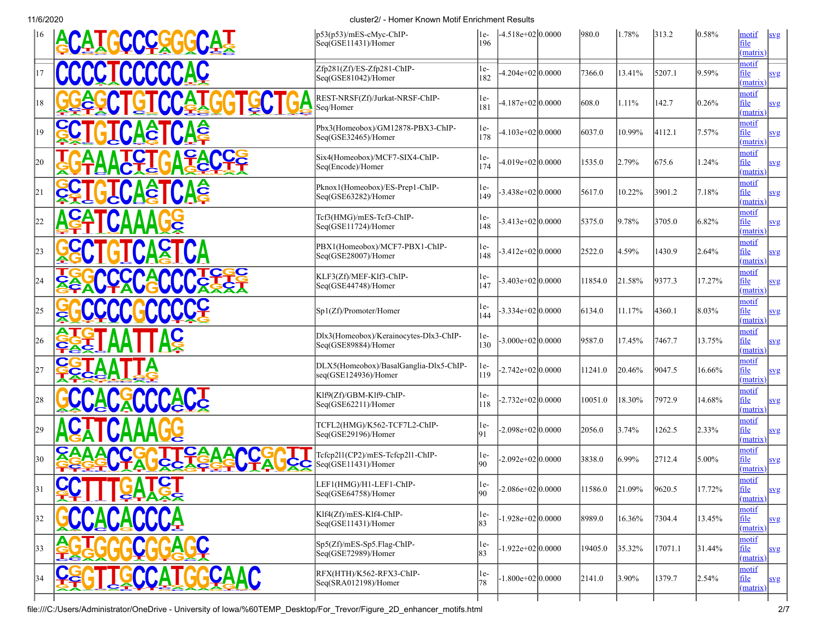|              | <b>ACATGCCCCGGCCAT</b> | p53(p53)/mES-cMyc-ChIP-<br>Seq(GSE11431)/Homer                 | 1e-<br>196   | -4.518e+02 0.0000    | 980.0   | 1.78%      | 313.2   | $0.58\%$  | motif<br>file<br>(matrix) | svg        |
|--------------|------------------------|----------------------------------------------------------------|--------------|----------------------|---------|------------|---------|-----------|---------------------------|------------|
| 17           | CCCCTCCCCCAC           | Zfp281(Zf)/ES-Zfp281-ChIP-<br>Seq(GSE81042)/Homer              | $1e-$<br>182 | $-4.204e+02 0.0000 $ | 7366.0  | 13.41%     | 5207.1  | 9.59%     | motif<br>file<br>(matrix) | svg        |
| 18           |                        | REST-NRSF(Zf)/Jurkat-NRSF-ChIP-<br>Seq/Homer                   | $1e-$<br>181 | $-4.187e+02 0.0000$  | 608.0   | 1.11%      | 142.7   | 0.26%     | motif<br>file<br>(matrix) | svg        |
| 19           | <b>CA&amp;</b>         | Pbx3(Homeobox)/GM12878-PBX3-ChIP-<br>Seq(GSE32465)/Homer       | 1e-<br>178   | $-4.103e+02 0.0000 $ | 6037.0  | 10.99%     | 4112.1  | 7.57%     | motif<br>file<br>(matrix) | svg        |
| 20           |                        | Six4(Homeobox)/MCF7-SIX4-ChIP-<br>Seq(Encode)/Homer            | $1e-$<br>174 | -4.019e+02 0.0000    | 1535.0  | 2.79%      | 675.6   | 1.24%     | motif<br>file<br>(matrix) | svg        |
| 21           | <b>Aĝ</b>              | Pknox1(Homeobox)/ES-Prep1-ChIP-<br>Seq(GSE63282)/Homer         | $1e-$<br>149 | $-3.438e+02 0.0000$  | 5617.0  | 10.22%     | 3901.2  | 7.18%     | motif<br>file<br>(matrix) | svg        |
| 22           |                        | Tcf3(HMG)/mES-Tcf3-ChIP-<br>Seq(GSE11724)/Homer                | 1e-<br>148   | $-3.413e+02 0.0000$  | 5375.0  | 9.78%      | 3705.0  | 6.82%     | motif<br>file<br>(matrix) | svg        |
| 23           | <b>TGTCASTCA</b>       | PBX1(Homeobox)/MCF7-PBX1-ChIP-<br>Seq(GSE28007)/Homer          | 1e-<br>148   | $-3.412e+02 0.0000$  | 2522.0  | 4.59%      | 1430.9  | 2.64%     | motif<br>file<br>(matrix) | svg        |
| 24           |                        | KLF3(Zf)/MEF-Klf3-ChIP-<br>Seq(GSE44748)/Homer                 | 1e-<br>147   | $-3.403e+02 0.0000$  | 11854.0 | 21.58%     | 9377.3  | 17.27%    | motif<br>file<br>(matrix) | svg        |
| 25           |                        | Sp1(Zf)/Promoter/Homer                                         | $1e-$<br>144 | $-3.334e+02 0.0000$  | 6134.0  | 11.17%     | 4360.1  | 8.03%     | motif<br>file<br>(matrix) | svg        |
| 26           |                        | Dlx3(Homeobox)/Kerainocytes-Dlx3-ChIP-<br>Seq(GSE89884)/Homer  | 1e-<br>130   | $-3.000e+02 0.0000$  | 9587.0  | 17.45%     | 7467.7  | 13.75%    | motif<br>file<br>(matrix) | svg        |
| 27           |                        | DLX5(Homeobox)/BasalGanglia-Dlx5-ChIP-<br>seq(GSE124936)/Homer | le-<br>119   | $-2.742e+02 0.0000 $ | 11241.0 | 20.46%     | 9047.5  | 16.66%    | motif<br>file<br>(matrix) | svg        |
| 28           | <b>CACACCCACTS</b>     | Klf9(Zf)/GBM-Klf9-ChIP-<br>Seq(GSE62211)/Homer                 | 1e-<br>118   | $-2.732e+02 0.0000 $ | 10051.0 | 18.30%     | 7972.9  | 14.68%    | motif<br>file<br>(matrix) | svg        |
| 29           |                        | TCFL2(HMG)/K562-TCF7L2-ChIP-<br>Seq(GSE29196)/Homer            | 1e-<br>91    | $-2.098e+02 0.0000$  | 2056.0  | 3.74%      | 1262.5  | $ 2.33\%$ | motif<br>file<br>(matrix) | svg        |
| $ 30\rangle$ |                        | Tefep211(CP2)/mES-Tefep211-ChIP-<br>Seq(GSE11431)/Homer        | $1e-$<br>90  | $-2.092e+02 0.0000$  | 3838.0  | 6.99%      | 2712.4  | 5.00%     | motif<br>file<br>(matrix) | svg        |
| 31           | C<br><u>ŠĀITIS GYS</u> | LEF1(HMG)/H1-LEF1-ChIP-<br>Seq(GSE64758)/Homer                 | 1e-<br>90    | $-2.086e+02 0.0000$  | 11586.0 | $ 21.09\%$ | 9620.5  | 17.72%    | motif<br>file<br>(matrix) | <u>svg</u> |
| 32           |                        | Klf4(Zf)/mES-Klf4-ChIP-<br>Seq(GSE11431)/Homer                 | 1e-<br>83    | $-1.928e+02 0.0000$  | 8989.0  | 16.36%     | 7304.4  | 13.45%    | motif<br>file<br>(matrix) | svg        |
| 33           |                        | Sp5(Zf)/mES-Sp5.Flag-ChIP-<br>Seq(GSE72989)/Homer              | $ 1e-$<br>83 | -1.922e+02 0.0000    | 19405.0 | 35.32%     | 17071.1 | 31.44%    | motif<br>file<br>(matrix) | svg        |
| 34           | <b>ÇAAC</b>            | RFX(HTH)/K562-RFX3-ChIP-<br>Seq(SRA012198)/Homer               | $1e-$<br>78  | $-1.800e+02 0.0000$  | 2141.0  | $3.90\%$   | 1379.7  | 2.54%     | motif<br>file<br>(matrix) | svg        |
|              |                        |                                                                |              |                      |         |            |         |           |                           |            |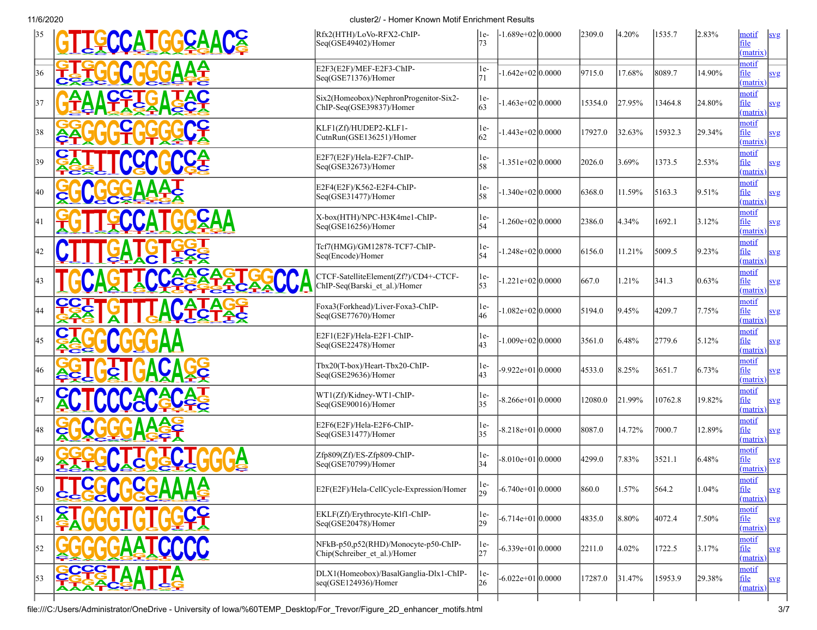| 35  | CCATGGCAACS       | Rfx2(HTH)/LoVo-RFX2-ChIP-<br>Seq(GSE49402)/Homer                                               | 1e-<br>73   | $-1.689e+02 0.0000$  | 2309.0  | $ 4.20\%$  | 1535.7  | 2.83%     | motif<br>svg<br>file<br>(matrix)        |
|-----|-------------------|------------------------------------------------------------------------------------------------|-------------|----------------------|---------|------------|---------|-----------|-----------------------------------------|
| 36  |                   | E2F3(E2F)/MEF-E2F3-ChIP-<br>Seq(GSE71376)/Homer                                                | $1e-$<br>71 | $-1.642e+02 0.0000 $ | 9715.0  | 17.68%     | 8089.7  | 14.90%    | motif<br>file<br>svg<br>(matrix)        |
| 37  |                   | Six2(Homeobox)/NephronProgenitor-Six2-<br>ChIP-Seq(GSE39837)/Homer                             | 1e-<br>63   | $-1.463e+02 0.0000 $ | 15354.0 | 27.95%     | 13464.8 | 24.80%    | motif<br>file<br>svg<br>(matrix)        |
| 38  |                   | KLF1(Zf)/HUDEP2-KLF1-<br>CutnRun(GSE136251)/Homer                                              | le-<br>62   | $-1.443e+02 0.0000 $ | 17927.0 | 32.63%     | 15932.3 | 29.34%    | motif<br>file<br>svg<br>(matrix)        |
| 39  |                   | E2F7(E2F)/Hela-E2F7-ChIP-<br>Seq(GSE32673)/Homer                                               | 1e-<br>58   | $-1.351e+02 0.0000$  | 2026.0  | 3.69%      | 1373.5  | 2.53%     | motif<br>file<br>svg<br>(matrix)        |
| 40  |                   | E2F4(E2F)/K562-E2F4-ChIP-<br>Seq(GSE31477)/Homer                                               | 1e-<br>58   | $-1.340e+02 0.0000$  | 6368.0  | 11.59%     | 5163.3  | 9.51%     | motif<br>file<br>svg<br>(matrix)        |
| 141 |                   | X-box(HTH)/NPC-H3K4me1-ChIP-<br>Seq(GSE16256)/Homer                                            | $1e-$<br>54 | $1.260e+02 0.0000$   | 2386.0  | 4.34%      | 1692.1  | 3.12%     | motif<br>file<br>svg<br>(matrix)        |
| 42  |                   | Tef7(HMG)/GM12878-TCF7-ChIP-<br>Seq(Encode)/Homer                                              | $1e-$<br>54 | $-1.248e+02 0.0000 $ | 6156.0  | 11.21%     | 5009.5  | 9.23%     | motif<br>file<br>svg<br>(matrix)        |
| 43  |                   | CTCF-SatelliteElement(Zf?)/CD4+-CTCF-<br>ChIP-Seq(Barski et al.)/Homer                         | $1e-$<br>53 | $-1.221e+02 0.0000$  | 667.0   | 1.21%      | 341.3   | $ 0.63\%$ | motif<br>file<br>svg<br>(matrix)        |
| 144 |                   | Foxa3(Forkhead)/Liver-Foxa3-ChIP-<br>Seq(GSE77670)/Homer                                       | 1e-<br>46   | $1.082e+02 0.0000$   | 5194.0  | 9.45%      | 4209.7  | 7.75%     | motif<br>file<br>svg<br>(matrix)        |
| 45  |                   | E2F1(E2F)/Hela-E2F1-ChIP-<br>Seq(GSE22478)/Homer                                               | 1e-<br>43   | $-1.009e+02 0.0000$  | 3561.0  | 6.48%      | 2779.6  | 5.12%     | motif<br>file<br>svg<br>(matrix)        |
| 46  |                   | Tbx20(T-box)/Heart-Tbx20-ChIP-<br>Seq(GSE29636)/Homer                                          | 1e-<br>43   | -9.922e+01 0.0000    | 4533.0  | 8.25%      | 3651.7  | $ 6.73\%$ | motif<br>file<br>svg<br>(matrix)        |
| 147 |                   | WT1(Zf)/Kidney-WT1-ChIP-<br>Seq(GSE90016)/Homer                                                | 1e-<br>35   | $-8.266e+01 0.0000$  | 12080.0 | 21.99%     | 10762.8 | 19.82%    | motif<br>file<br>svg<br>(matrix)        |
| 48  | C                 | E2F6(E2F)/Hela-E2F6-ChIP-<br>Seq(GSE31477)/Homer                                               | $1e-$<br>35 | $-8.218e+01 0.0000$  | 8087.0  | 14.72%     | 7000.7  | 12.89%    | motif<br>file<br>svg<br>(matrix)        |
| 49  |                   | Zfp809(Zf)/ES-Zfp809-ChIP-<br>Seq(GSE70799)/Homer                                              | le-<br>34   | $-8.010e+01 0.0000$  | 4299.0  | 7.83%      | 3521.1  | 6.48%     | motif<br>file<br>svg<br>(matrix)        |
| 50  | Δ<br><b>SARAG</b> | E2F(E2F)/Hela-CellCycle-Expression/Homer                                                       | 29          | $-6.740e+01 0.0000$  | 860.0   | 1.57%      | 564.2   | $ 1.04\%$ | motif<br><u>file</u><br>svg<br>(matrix) |
| 51  |                   | EKLF(Zf)/Erythrocyte-Klf1-ChIP-<br>Seq(GSE20478)/Homer                                         | le-<br>29   | $-6.714e+01 0.0000$  | 4835.0  | $8.80\%$   | 4072.4  | 7.50%     | motif<br>file<br>svg<br>(matrix)        |
| 52  |                   | NFkB-p50,p52(RHD)/Monocyte-p50-ChIP-<br>Chip(Schreiber et al.)/Homer                           | 1e-<br>27   | $-6.339e+01 0.0000$  | 2211.0  | $ 4.02\% $ | 1722.5  | 3.17%     | motif<br>file<br>svg<br>(matrix)        |
| 53  |                   | DLX1(Homeobox)/BasalGanglia-Dlx1-ChIP-<br>$\left  \text{seq(GSE124936)/} \text{Homer} \right $ | 1e-<br>26   | $-6.022e+01 0.0000$  | 17287.0 | 31.47%     | 15953.9 | 29.38%    | motif<br>file<br>svg<br>(matrix)        |
|     |                   |                                                                                                |             |                      |         |            |         |           |                                         |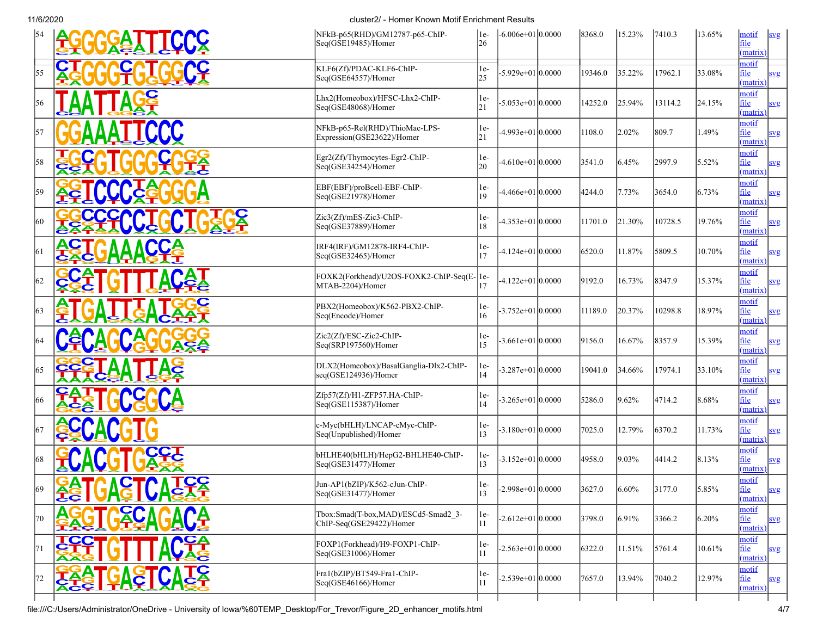|     |                                             | NFkB-p65(RHD)/GM12787-p65-ChIP-<br>Seq(GSE19485)/Homer          | $ 1e-$<br>26 | $-6.006e+01 0.0000$ | 8368.0  | 15.23%    | 7410.3  | 13.65%    | motif<br>svg<br>file<br>(matrix)        |
|-----|---------------------------------------------|-----------------------------------------------------------------|--------------|---------------------|---------|-----------|---------|-----------|-----------------------------------------|
| 55  |                                             | KLF6(Zf)/PDAC-KLF6-ChIP-<br>Seq(GSE64557)/Homer                 | $1e-$<br>25  | $-5.929e+01 0.0000$ | 19346.0 | 35.22%    | 17962.1 | 33.08%    | motif<br>file<br>svg<br>(matrix)        |
| 56  |                                             | Lhx2(Homeobox)/HFSC-Lhx2-ChIP-<br>Seq(GSE48068)/Homer           | $1e-$<br>21  | $-5.053e+01 0.0000$ | 14252.0 | 25.94%    | 13114.2 | 24.15%    | motif<br>file<br>svg<br>(matrix)        |
| 57  |                                             | NFkB-p65-Rel(RHD)/ThioMac-LPS-<br>Expression(GSE23622)/Homer    | $1e-$<br>21  | $-4.993e+01 0.0000$ | 1108.0  | 2.02%     | 809.7   | 1.49%     | motif<br>file<br>svg<br>(matrix)        |
| 58  |                                             | Egr2(Zf)/Thymocytes-Egr2-ChIP-<br>Seq(GSE34254)/Homer           | $1e-$<br>20  | $-4.610e+01 0.0000$ | 3541.0  | 6.45%     | 2997.9  | 5.52%     | motif<br>file<br>svg<br>(matrix)        |
| 59  |                                             | EBF(EBF)/proBcell-EBF-ChIP-<br>Seq(GSE21978)/Homer              | $1e-$<br>19  | -4.466e+01 0.0000   | 4244.0  | 7.73%     | 3654.0  | $ 6.73\%$ | motif<br>file<br>svg<br>(matrix)        |
| 60  |                                             | Zic3(Zf)/mES-Zic3-ChIP-<br>Seq(GSE37889)/Homer                  | le-<br>18    | $-4.353e+01 0.0000$ | 11701.0 | 21.30%    | 10728.5 | 19.76%    | motif<br>file<br>svg<br>(matrix)        |
| 61  |                                             | IRF4(IRF)/GM12878-IRF4-ChIP-<br>Seq(GSE32465)/Homer             | $1e-$<br> 17 | $-4.124e+01 0.0000$ | 6520.0  | 11.87%    | 5809.5  | 10.70%    | motif<br>file<br>svg<br>(matrix)        |
| 62  |                                             | FOXK2(Forkhead)/U2OS-FOXK2-ChIP-Seq(E-1e-<br>MTAB-2204)/Homer   | 17           | $-4.122e+01 0.0000$ | 9192.0  | 16.73%    | 8347.9  | 15.37%    | motif<br>file<br>svg<br>(matrix)        |
| 63  |                                             | PBX2(Homeobox)/K562-PBX2-ChIP-<br>Seq(Encode)/Homer             | $1e-$<br>16  | $-3.752e+01 0.0000$ | 11189.0 | 20.37%    | 10298.8 | 18.97%    | motif<br>file<br>svg<br>(matrix)        |
| 64  | <u>AÇê</u>                                  | Zic2(Zf)/ESC-Zic2-ChIP-<br>Seq(SRP197560)/Homer                 | 1e-<br>15    | $-3.661e+01 0.0000$ | 9156.0  | 16.67%    | 8357.9  | 15.39%    | motif<br>file<br>svg<br>(matrix)        |
| 65  |                                             | DLX2(Homeobox)/BasalGanglia-Dlx2-ChIP-<br>seq(GSE124936)/Homer  | $1e-$<br>14  | $-3.287e+01 0.0000$ | 19041.0 | 34.66%    | 17974.1 | 33.10%    | motif<br>file<br>svg<br>(matrix)        |
| 66  |                                             | Zfp57(Zf)/H1-ZFP57.HA-ChIP-<br>Seq(GSE115387)/Homer             | le-<br>14    | $-3.265e+01 0.0000$ | 5286.0  | 9.62%     | 4714.2  | 8.68%     | motif<br>file<br>svg<br>(matrix)        |
| 167 |                                             | c-Myc(bHLH)/LNCAP-cMyc-ChIP-<br>Seq(Unpublished)/Homer          | $1e-$<br>13  | $-3.180e+01 0.0000$ | 7025.0  | 12.79%    | 6370.2  | 11.73%    | motif<br>file<br>svg<br>(matrix)        |
| 68  |                                             | bHLHE40(bHLH)/HepG2-BHLHE40-ChIP-<br>Seq(GSE31477)/Homer        | $1e-$<br>13  | $-3.152e+01 0.0000$ | 4958.0  | 9.03%     | 4414.2  | $ 8.13\%$ | motif<br>file<br>svg<br>(matrix)        |
| 169 | <b>CC</b><br><b>AĞI UAŞTA</b><br><b>est</b> | Jun-AP1(bZIP)/K562-cJun-ChIP-<br>Seq(GSE31477)/Homer            | $1e-$<br>13  | $-2.998e+01 0.0000$ | 3627.0  | $ 6.60\%$ | 3177.0  | $ 5.85\%$ | motif<br><u>file</u><br>svg<br>(matrix) |
| 70  | <u>SC</u>                                   | Tbox:Smad(T-box,MAD)/ESCd5-Smad2 3-<br>ChIP-Seq(GSE29422)/Homer | $1e-$<br>11  | $-2.612e+01 0.0000$ | 3798.0  | 6.91%     | 3366.2  | $ 6.20\%$ | motif<br>file<br>svg<br>(matrix)        |
| 71  |                                             | FOXP1(Forkhead)/H9-FOXP1-ChIP-<br>Seq(GSE31006)/Homer           | $1e-$<br> 11 | $-2.563e+01 0.0000$ | 6322.0  | 11.51%    | 5761.4  | 10.61%    | motif<br>file<br>svg<br>(matrix)        |
| 72  | <b>GA&amp;T</b><br><b>A28</b>               | Fra1(bZIP)/BT549-Fra1-ChIP-<br>Seq(GSE46166)/Homer              | $1e-$<br> 11 | $-2.539e+01 0.0000$ | 7657.0  | 13.94%    | 7040.2  | 12.97%    | motif<br>file<br>svg<br>(matrix)        |
|     |                                             |                                                                 |              |                     |         |           |         |           |                                         |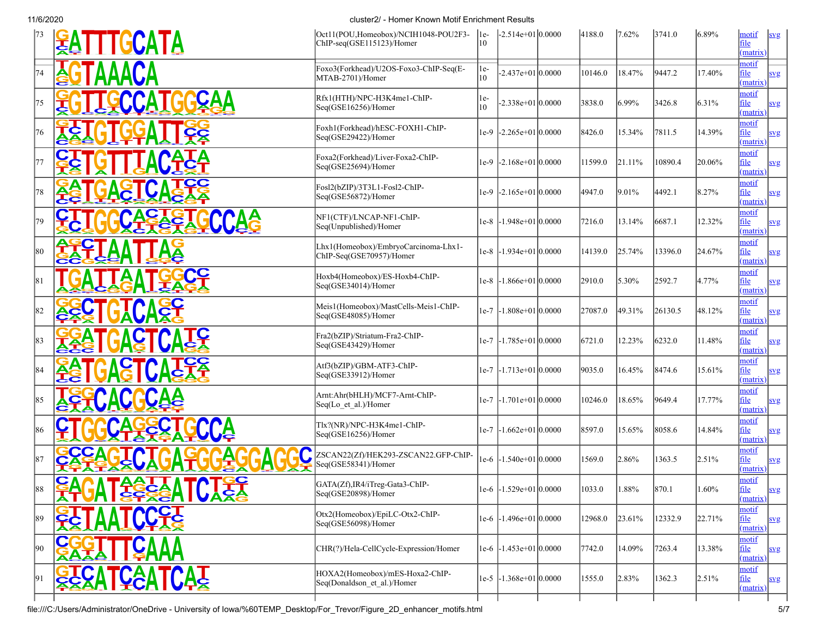| 73           | <b>SATTTGCATA</b>                            | Oct11(POU,Homeobox)/NCIH1048-POU2F3-<br>ChIP-seq(GSE115123)/Homer | 1e-<br>10 | $-2.514e+0110.0000$         | 4188.0  | 7.62%  | 3741.0  | $ 6.89\%$  | motif<br>svg<br>file<br>(matrix)               |
|--------------|----------------------------------------------|-------------------------------------------------------------------|-----------|-----------------------------|---------|--------|---------|------------|------------------------------------------------|
| 74           | AAACA                                        | Foxo3(Forkhead)/U2OS-Foxo3-ChIP-Seq(E-<br>MTAB-2701)/Homer        | le-<br>10 | $-2.437e+01 0.0000$         | 10146.0 | 18.47% | 9447.2  | 17.40%     | motif<br>file<br>svg<br>(matrix)               |
| 75           |                                              | Rfx1(HTH)/NPC-H3K4me1-ChIP-<br>Seq(GSE16256)/Homer                | le-<br>10 | $-2.338e+01 0.0000$         | 3838.0  | 6.99%  | 3426.8  | 6.31%      | motif<br>file<br>svg<br>(matrix)               |
| 76           |                                              | Foxh1(Forkhead)/hESC-FOXH1-ChIP-<br>Seq(GSE29422)/Homer           |           | le-9 -2.265e+01 0.0000      | 8426.0  | 15.34% | 7811.5  | 14.39%     | motif<br>file<br><b>svg</b><br>(matrix)        |
| 177          |                                              | Foxa2(Forkhead)/Liver-Foxa2-ChIP-<br>Seq(GSE25694)/Homer          |           | $1e-9$ -2.168e + 01 0.0000  | 11599.0 | 21.11% | 10890.4 | 20.06%     | motif<br>file<br>svg<br>(matrix)               |
| 78           |                                              | Fosl2(bZIP)/3T3L1-Fosl2-ChIP-<br>Seq(GSE56872)/Homer              |           | le-9 -2.165e+01 0.0000      | 4947.0  | 9.01%  | 4492.1  | 8.27%      | motif<br>file<br>svg<br>(matrix)               |
| 179          |                                              | NF1(CTF)/LNCAP-NF1-ChIP-<br>Seq(Unpublished)/Homer                |           | le-8 -1.948e+01 0.0000      | 7216.0  | 13.14% | 6687.1  | 12.32%     | motif<br>file<br>svg<br>(matrix)               |
| 80           |                                              | Lhx1(Homeobox)/EmbryoCarcinoma-Lhx1-<br>ChIP-Seq(GSE70957)/Homer  | l e-8     | $-1.934e+01 0.0000$         | 14139.0 | 25.74% | 13396.0 | 24.67%     | motif<br>file<br>svg<br>(matrix)               |
| 81           |                                              | Hoxb4(Homeobox)/ES-Hoxb4-ChIP-<br>Seq(GSE34014)/Homer             |           | le-8 -1.866e+01 0.0000      | 2910.0  | 5.30%  | 2592.7  | 4.77%      | motif<br>file<br>svg<br>(matrix)               |
| 82           |                                              | Meis1(Homeobox)/MastCells-Meis1-ChIP-<br>Seq(GSE48085)/Homer      | $1e-7$    | $-1.808e+01 0.0000$         | 27087.0 | 49.31% | 26130.5 | 48.12%     | motif<br>file<br>svg<br>(matrix)               |
| $ 83\rangle$ |                                              | Fra2(bZIP)/Striatum-Fra2-ChIP-<br>Seq(GSE43429)/Homer             | le-7      | $-1.785e+01 0.0000$         | 6721.0  | 12.23% | 6232.0  | 11.48%     | motif<br>file<br>svg<br>(matrix)               |
| 84           |                                              | Atf3(bZIP)/GBM-ATF3-ChIP-<br>Seq(GSE33912)/Homer                  |           | le-7 -1.713e+01 0.0000      | 9035.0  | 16.45% | 8474.6  | 15.61%     | motif<br>file<br>svg<br>(matrix)               |
| 185          |                                              | Arnt:Ahr(bHLH)/MCF7-Arnt-ChIP-<br>Seq(Lo_et_al.)/Homer            | $1e-7$    | $-1.701e+01 0.0000$         | 10246.0 | 18.65% | 9649.4  | 17.77%     | motif<br>file<br>svg<br>(matrix)               |
| 86           |                                              | Tlx?(NR)/NPC-H3K4me1-ChIP-<br>Seq(GSE16256)/Homer                 | $1e-7$    | $-1.662e+01 0.0000$         | 8597.0  | 15.65% | 8058.6  | 14.84%     | motif<br>file<br>svg<br>(matrix)               |
| 87           |                                              | ZSCAN22(Zf)/HEK293-ZSCAN22.GFP-ChIP-<br>Seq(GSE58341)/Homer       | le-6      | $-1.540e+01 0.0000$         | 1569.0  | 2.86%  | 1363.5  | $ 2.51\%$  | motif<br>file<br>svg<br>(matrix)               |
| 188          | ÇΛ<br><b>TAAT</b><br>C<br><b>FGGAAI UARA</b> | GATA(Zf), IR4/iTreg-Gata3-ChIP-<br>Seq(GSE20898)/Homer            |           | $1e-6$ -1.529e+01 0.0000    | 1033.0  | 1.88%  | 870.1   | 1.60%      | motif<br><u>tile</u><br><u>svg</u><br>(matrix) |
| 89           |                                              | Otx2(Homeobox)/EpiLC-Otx2-ChIP-<br>Seq(GSE56098)/Homer            |           | $1e-6$ -1.496 $e+01$ 0.0000 | 12968.0 | 23.61% | 12332.9 | $ 22.71\%$ | motif<br>file<br><u>svg</u><br>(matrix)        |
| $ 90\rangle$ |                                              | CHR(?)/Hela-CellCycle-Expression/Homer                            |           | le-6 -1.453e+01 0.0000      | 7742.0  | 14.09% | 7263.4  | 13.38%     | motif<br>file<br>svg<br>(matrix)               |
| 91           | <b>ECATCAATCAE</b>                           | HOXA2(Homeobox)/mES-Hoxa2-ChIP-<br>Seq(Donaldson et al.)/Homer    |           | $1e-5$ -1.368e +01 0.0000   | 1555.0  | 2.83%  | 1362.3  | $ 2.51\%$  | motif<br>file<br>svg<br>(matrix)               |
|              |                                              |                                                                   |           |                             |         |        |         |            |                                                |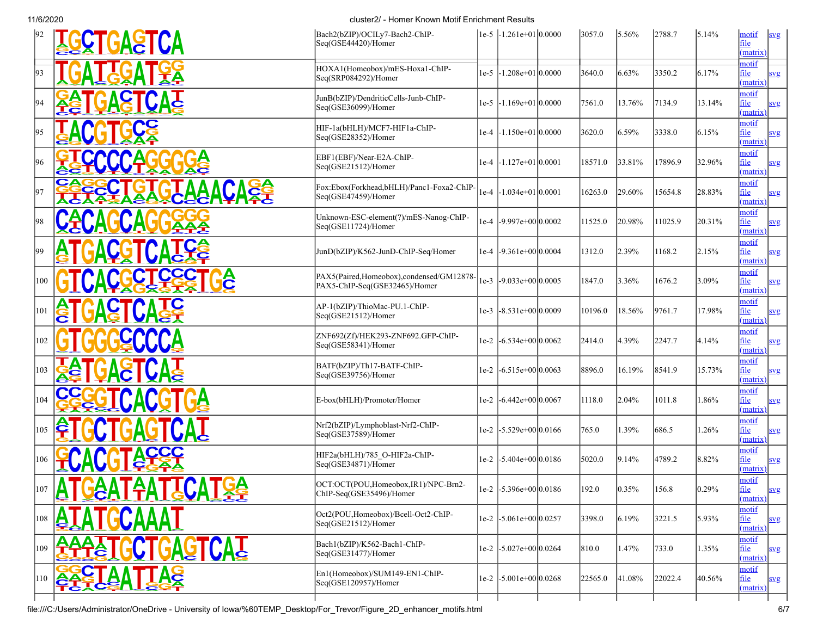| 92            | <b>GCTGASTCA</b>         | Bach2(bZIP)/OCILy7-Bach2-ChIP-<br>Seq(GSE44420)/Homer                     |        | le-5 -1.261e+01 0.0000         | 3057.0  | 5.56%      | 2788.7  | 5.14%     | motif<br>file<br>matrix)         | s <sub>yg</sub> |
|---------------|--------------------------|---------------------------------------------------------------------------|--------|--------------------------------|---------|------------|---------|-----------|----------------------------------|-----------------|
| 93            |                          | HOXA1(Homeobox)/mES-Hoxa1-ChIP-<br>Seq(SRP084292)/Homer                   | $1e-5$ | $-1.208e+01 0.0000$            | 3640.0  | 6.63%      | 3350.2  | 6.17%     | motif<br>file<br>matrix)         | svg             |
| 94            |                          | JunB(bZIP)/DendriticCells-Junb-ChIP-<br>Seq(GSE36099)/Homer               |        | $ 1e-5 $ -1.169e+01 $ 0.0000 $ | 7561.0  | 13.76%     | 7134.9  | 13.14%    | motif<br><u>file</u><br>matrix)  | svg             |
| 95            |                          | HIF-1a(bHLH)/MCF7-HIF1a-ChIP-<br>Seq(GSE28352)/Homer                      |        | $ 1e-4 $ -1.150e+01 $ 0.0000 $ | 3620.0  | 6.59%      | 3338.0  | $ 6.15\%$ | motif<br>file<br>matrix)         | svg             |
| 96            |                          | EBF1(EBF)/Near-E2A-ChIP-<br>Seq(GSE21512)/Homer                           |        | $1e-4$ -1.127 $e+01$ 0.0001    | 18571.0 | 33.81%     | 17896.9 | 32.96%    | motif<br>file<br>matrix)         | svg             |
| 97            |                          | Fox:Ebox(Forkhead,bHLH)/Panc1-Foxa2-ChIP-<br>Seq(GSE47459)/Homer          | 1e-4   | $-1.034e+01 0.0001$            | 16263.0 | 29.60%     | 15654.8 | 28.83%    | motif<br>file<br>matrix)         | svg             |
| 98            |                          | Unknown-ESC-element(?)/mES-Nanog-ChIP-<br>Seq(GSE11724)/Homer             | $1e-4$ | $-9.997e+00 0.0002$            | 11525.0 | 20.98%     | 1025.9  | 20.31%    | motif<br>file<br>matrix)         | <u>svg</u>      |
| 99            |                          | JunD(bZIP)/K562-JunD-ChIP-Seq/Homer                                       | $1e-4$ | $-9.361e+00 0.0004$            | 1312.0  | 2.39%      | 1168.2  | 2.15%     | notif<br>file<br>(matrix)        | svg             |
| 100           |                          | PAX5(Paired,Homeobox),condensed/GM12878-<br>PAX5-ChIP-Seq(GSE32465)/Homer |        | 1e-3 $ -9.033e+00 0.0005$      | 1847.0  | 3.36%      | 1676.2  | 3.09%     | motif<br>file<br>matrix)         | svg             |
| 101           |                          | AP-1(bZIP)/ThioMac-PU.1-ChIP-<br>Seq(GSE21512)/Homer                      |        | le-3 -8.531e+00 0.0009         | 10196.0 | 18.56%     | 9761.7  | 17.98%    | motif<br>file<br>matrix)         | svg             |
| 102           |                          | ZNF692(Zf)/HEK293-ZNF692.GFP-ChIP-<br>Seq(GSE58341)/Homer                 |        | $1e-2$ -6.534e +00 0.0062      | 2414.0  | 4.39%      | 2247.7  | $ 4.14\%$ | notif<br><u>file</u><br>matrix)  | svg             |
| $ 103\rangle$ |                          | BATF(bZIP)/Th17-BATF-ChIP-<br>Seq(GSE39756)/Homer                         |        | $1e-2$ -6.515e +00 0.0063      | 8896.0  | 16.19%     | 8541.9  | 15.73%    | motif<br><u>file</u><br>matrix)  | svg             |
| 104           |                          | E-box(bHLH)/Promoter/Homer                                                | $1e-2$ | $-6.442e+00 0.0067$            | 1118.0  | 2.04%      | 1011.8  | 1.86%     | motif<br><u>file</u><br>matrix)  | svg             |
| 105           |                          | Nrf2(bZIP)/Lymphoblast-Nrf2-ChIP-<br>Seq(GSE37589)/Homer                  |        | $ 1e-2 $ -5.529e+00 $ 0.0166 $ | 765.0   | .39%       | 686.5   | 1.26%     | motif<br><u>file</u><br>matrix)  | svg             |
| 106           |                          | HIF2a(bHLH)/785 O-HIF2a-ChIP-<br>Seq(GSE34871)/Homer                      |        | $ 1e-2 $ -5.404e+00 $ 0.0186 $ | 5020.0  | 9.14%      | 4789.2  | 8.82%     | motif<br>file<br>matrix)         | svg             |
| 107           | <b>AATAATTCATGA</b><br>◘ | OCT:OCT(POU,Homeobox,IR1)/NPC-Brn2-<br>ChIP-Seq(GSE35496)/Homer           |        | le-2 -5.396e+00 0.0186         | 192.0   | $ 0.35\% $ | 156.8   | 0.29%     | motif<br>file<br>matrix)         | <u>svg</u>      |
| 108           |                          | Oct2(POU,Homeobox)/Bcell-Oct2-ChIP-<br>Seq(GSE21512)/Homer                |        | $ 1e-2 $ -5.061e+00 $ 0.0257 $ | 3398.0  | 6.19%      | 3221.5  | $5.93\%$  | motif<br>file<br>matrix)         | svg             |
| 109           | <b>GAGTCAT</b><br>ĉ      | Bach1(bZIP)/K562-Bach1-ChIP-<br>Seq(GSE31477)/Homer                       |        | $ 1e-2 $ -5.027e+00 $ 0.0264 $ | 810.0   | 1.47%      | 733.0   | 1.35%     | motif<br>file<br>matrix)         | <u>svg</u>      |
| 110           |                          | En1(Homeobox)/SUM149-EN1-ChIP-<br>Seq(GSE120957)/Homer                    |        | $ 1e-2 $ -5.001e+00 $ 0.0268 $ | 22565.0 | 41.08%     | 22022.4 | 40.56%    | motif<br><u>file</u><br>(matrix) | svg             |
|               |                          |                                                                           |        |                                |         |            |         |           |                                  |                 |